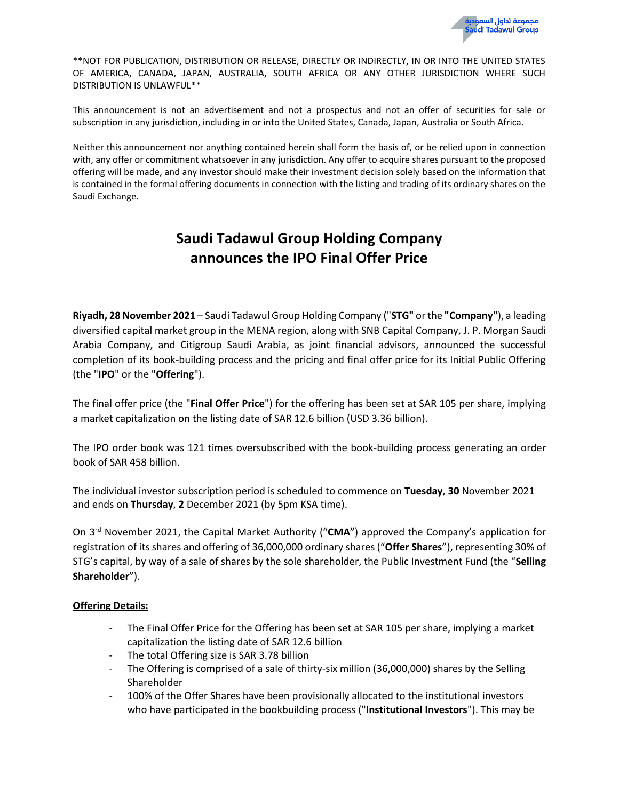\*\*NOT FOR PUBLICATION, DISTRIBUTION OR RELEASE, DIRECTLY OR INDIRECTLY, IN OR INTO THE UNITED STATES OF AMERICA, CANADA, JAPAN, AUSTRALIA, SOUTH AFRICA OR ANY OTHER JURISDICTION WHERE SUCH DISTRIBUTION IS UNLAWFUL\*\*

This announcement is not an advertisement and not a prospectus and not an offer of securities for sale or subscription in any jurisdiction, including in or into the United States, Canada, Japan, Australia or South Africa.

Neither this announcement nor anything contained herein shall form the basis of, or be relied upon in connection with, any offer or commitment whatsoever in any jurisdiction. Any offer to acquire shares pursuant to the proposed offering will be made, and any investor should make their investment decision solely based on the information that is contained in the formal offering documents in connection with the listing and trading of its ordinary shares on the Saudi Exchange.

# **Saudi Tadawul Group Holding Company announces the IPO Final Offer Price**

**Riyadh, 28 November 2021** – Saudi Tadawul Group Holding Company ("**STG"** orthe **"Company"**), a leading diversified capital market group in the MENA region, along with SNB Capital Company, J. P. Morgan Saudi Arabia Company, and Citigroup Saudi Arabia, as joint financial advisors, announced the successful completion of its book-building process and the pricing and final offer price for its Initial Public Offering (the "**IPO**" or the "**Offering**").

The final offer price (the "**Final Offer Price**") for the offering has been set at SAR 105 per share, implying a market capitalization on the listing date of SAR 12.6 billion (USD 3.36 billion).

The IPO order book was 121 times oversubscribed with the book-building process generating an order book of SAR 458 billion.

The individual investor subscription period is scheduled to commence on **Tuesday**, **30** November 2021 and ends on **Thursday**, **2** December 2021 (by 5pm KSA time).

On 3 rd November 2021, the Capital Market Authority ("**CMA**") approved the Company's application for registration of its shares and offering of 36,000,000 ordinary shares ("**Offer Shares**"), representing 30% of STG's capital, by way of a sale of shares by the sole shareholder, the Public Investment Fund (the "**Selling Shareholder**").

### **Offering Details:**

- The Final Offer Price for the Offering has been set at SAR 105 per share, implying a market capitalization the listing date of SAR 12.6 billion
- The total Offering size is SAR 3.78 billion
- The Offering is comprised of a sale of thirty-six million (36,000,000) shares by the Selling Shareholder
- 100% of the Offer Shares have been provisionally allocated to the institutional investors who have participated in the bookbuilding process ("**Institutional Investors**"). This may be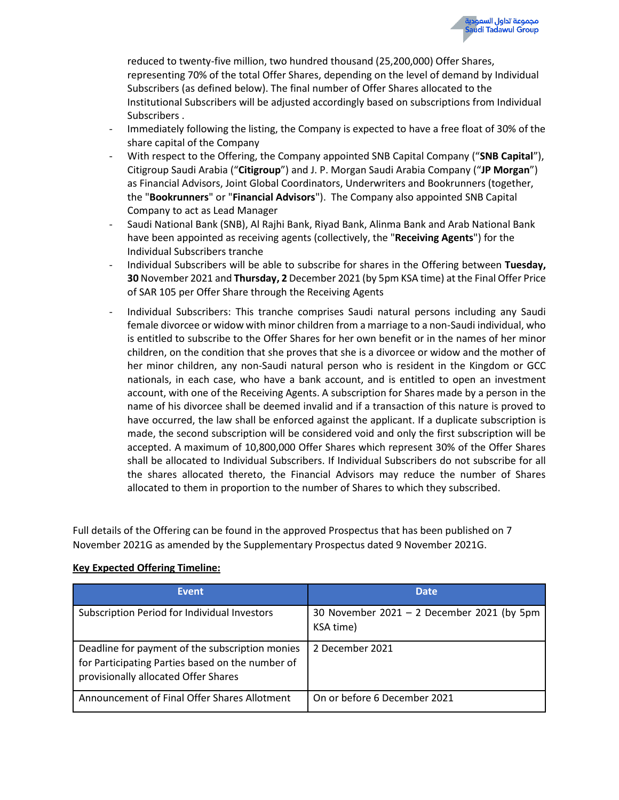reduced to twenty-five million, two hundred thousand (25,200,000) Offer Shares, representing 70% of the total Offer Shares, depending on the level of demand by Individual Subscribers (as defined below). The final number of Offer Shares allocated to the Institutional Subscribers will be adjusted accordingly based on subscriptions from Individual Subscribers .

- Immediately following the listing, the Company is expected to have a free float of 30% of the share capital of the Company
- With respect to the Offering, the Company appointed SNB Capital Company ("**SNB Capital**"), Citigroup Saudi Arabia ("**Citigroup**") and J. P. Morgan Saudi Arabia Company ("**JP Morgan**") as Financial Advisors, Joint Global Coordinators, Underwriters and Bookrunners (together, the "**Bookrunners**" or "**Financial Advisors**"). The Company also appointed SNB Capital Company to act as Lead Manager
- Saudi National Bank (SNB), Al Rajhi Bank, Riyad Bank, Alinma Bank and Arab National Bank have been appointed as receiving agents (collectively, the "**Receiving Agents**") for the Individual Subscribers tranche
- Individual Subscribers will be able to subscribe for shares in the Offering between **Tuesday, 30** November 2021 and **Thursday, 2** December 2021 (by 5pm KSA time) at the Final Offer Price of SAR 105 per Offer Share through the Receiving Agents
- Individual Subscribers: This tranche comprises Saudi natural persons including any Saudi female divorcee or widow with minor children from a marriage to a non-Saudi individual, who is entitled to subscribe to the Offer Shares for her own benefit or in the names of her minor children, on the condition that she proves that she is a divorcee or widow and the mother of her minor children, any non-Saudi natural person who is resident in the Kingdom or GCC nationals, in each case, who have a bank account, and is entitled to open an investment account, with one of the Receiving Agents. A subscription for Shares made by a person in the name of his divorcee shall be deemed invalid and if a transaction of this nature is proved to have occurred, the law shall be enforced against the applicant. If a duplicate subscription is made, the second subscription will be considered void and only the first subscription will be accepted. A maximum of 10,800,000 Offer Shares which represent 30% of the Offer Shares shall be allocated to Individual Subscribers. If Individual Subscribers do not subscribe for all the shares allocated thereto, the Financial Advisors may reduce the number of Shares allocated to them in proportion to the number of Shares to which they subscribed.

Full details of the Offering can be found in the approved Prospectus that has been published on 7 November 2021G as amended by the Supplementary Prospectus dated 9 November 2021G.

| <b>Event</b>                                                                                                                                | <b>Date</b>                                             |
|---------------------------------------------------------------------------------------------------------------------------------------------|---------------------------------------------------------|
| Subscription Period for Individual Investors                                                                                                | 30 November 2021 - 2 December 2021 (by 5pm<br>KSA time) |
| Deadline for payment of the subscription monies<br>for Participating Parties based on the number of<br>provisionally allocated Offer Shares | 2 December 2021                                         |
| Announcement of Final Offer Shares Allotment                                                                                                | On or before 6 December 2021                            |

## **Key Expected Offering Timeline:**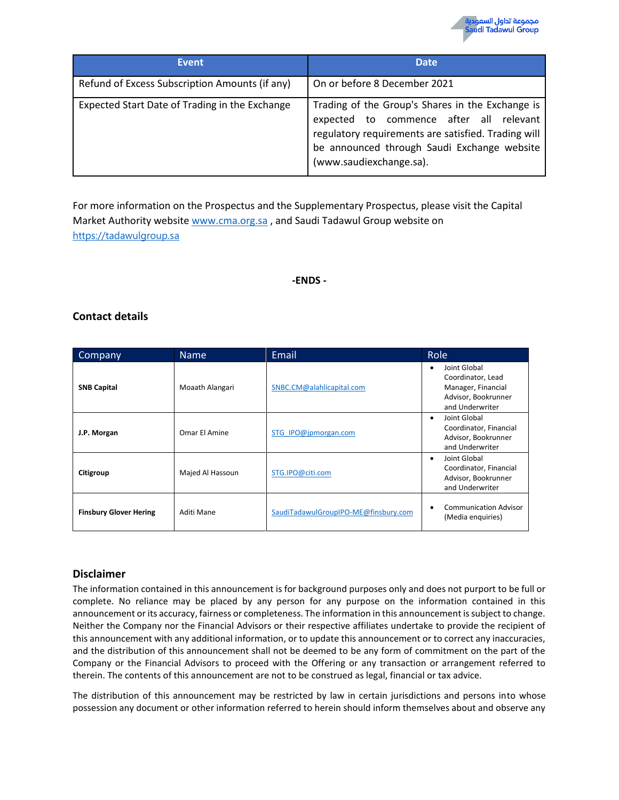| <b>Event</b>                                   | <b>Date</b>                                                                                                                                                                                                                  |  |
|------------------------------------------------|------------------------------------------------------------------------------------------------------------------------------------------------------------------------------------------------------------------------------|--|
| Refund of Excess Subscription Amounts (if any) | On or before 8 December 2021                                                                                                                                                                                                 |  |
| Expected Start Date of Trading in the Exchange | Trading of the Group's Shares in the Exchange is<br>expected to commence after all relevant<br>regulatory requirements are satisfied. Trading will<br>be announced through Saudi Exchange website<br>(www.saudiexchange.sa). |  |

For more information on the Prospectus and the Supplementary Prospectus, please visit the Capital Market Authority websit[e www.cma.org.sa](http://www.cma.org.sa/) , and Saudi Tadawul Group website on [https://tadawulgroup.sa](https://tadawulgroup.sa/)

#### **-ENDS -**

## **Contact details**

| Company                       | <b>Name</b>      | Email                                | Role                                                                                              |
|-------------------------------|------------------|--------------------------------------|---------------------------------------------------------------------------------------------------|
| <b>SNB Capital</b>            | Moaath Alangari  | SNBC.CM@alahlicapital.com            | Joint Global<br>Coordinator, Lead<br>Manager, Financial<br>Advisor, Bookrunner<br>and Underwriter |
| J.P. Morgan                   | Omar El Amine    | STG IPO@jpmorgan.com                 | Joint Global<br>٠<br>Coordinator, Financial<br>Advisor, Bookrunner<br>and Underwriter             |
| Citigroup                     | Majed Al Hassoun | STG.IPO@citi.com                     | Joint Global<br>٠<br>Coordinator, Financial<br>Advisor, Bookrunner<br>and Underwriter             |
| <b>Finsbury Glover Hering</b> | Aditi Mane       | SaudiTadawulGroupIPO-ME@finsbury.com | <b>Communication Advisor</b><br>(Media enguiries)                                                 |

## **Disclaimer**

The information contained in this announcement is for background purposes only and does not purport to be full or complete. No reliance may be placed by any person for any purpose on the information contained in this announcement or its accuracy, fairness or completeness. The information in this announcement is subject to change. Neither the Company nor the Financial Advisors or their respective affiliates undertake to provide the recipient of this announcement with any additional information, or to update this announcement or to correct any inaccuracies, and the distribution of this announcement shall not be deemed to be any form of commitment on the part of the Company or the Financial Advisors to proceed with the Offering or any transaction or arrangement referred to therein. The contents of this announcement are not to be construed as legal, financial or tax advice.

The distribution of this announcement may be restricted by law in certain jurisdictions and persons into whose possession any document or other information referred to herein should inform themselves about and observe any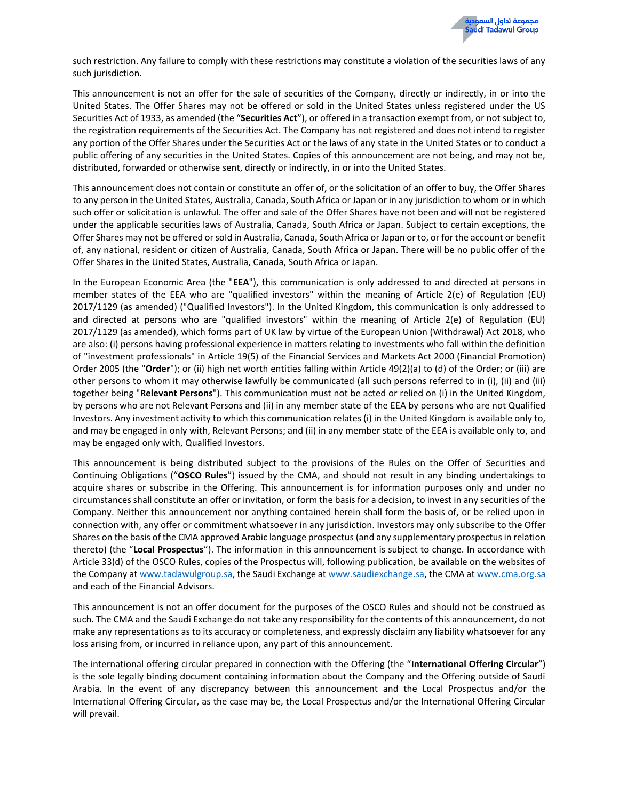such restriction. Any failure to comply with these restrictions may constitute a violation of the securities laws of any such jurisdiction.

This announcement is not an offer for the sale of securities of the Company, directly or indirectly, in or into the United States. The Offer Shares may not be offered or sold in the United States unless registered under the US Securities Act of 1933, as amended (the "**Securities Act**"), or offered in a transaction exempt from, or not subject to, the registration requirements of the Securities Act. The Company has not registered and does not intend to register any portion of the Offer Shares under the Securities Act or the laws of any state in the United States or to conduct a public offering of any securities in the United States. Copies of this announcement are not being, and may not be, distributed, forwarded or otherwise sent, directly or indirectly, in or into the United States.

This announcement does not contain or constitute an offer of, or the solicitation of an offer to buy, the Offer Shares to any person in the United States, Australia, Canada, South Africa or Japan or in any jurisdiction to whom or in which such offer or solicitation is unlawful. The offer and sale of the Offer Shares have not been and will not be registered under the applicable securities laws of Australia, Canada, South Africa or Japan. Subject to certain exceptions, the Offer Shares may not be offered or sold in Australia, Canada, South Africa or Japan or to, or for the account or benefit of, any national, resident or citizen of Australia, Canada, South Africa or Japan. There will be no public offer of the Offer Shares in the United States, Australia, Canada, South Africa or Japan.

In the European Economic Area (the "**EEA**"), this communication is only addressed to and directed at persons in member states of the EEA who are "qualified investors" within the meaning of Article 2(e) of Regulation (EU) 2017/1129 (as amended) ("Qualified Investors"). In the United Kingdom, this communication is only addressed to and directed at persons who are "qualified investors" within the meaning of Article 2(e) of Regulation (EU) 2017/1129 (as amended), which forms part of UK law by virtue of the European Union (Withdrawal) Act 2018, who are also: (i) persons having professional experience in matters relating to investments who fall within the definition of "investment professionals" in Article 19(5) of the Financial Services and Markets Act 2000 (Financial Promotion) Order 2005 (the "**Order**"); or (ii) high net worth entities falling within Article 49(2)(a) to (d) of the Order; or (iii) are other persons to whom it may otherwise lawfully be communicated (all such persons referred to in (i), (ii) and (iii) together being "**Relevant Persons**"). This communication must not be acted or relied on (i) in the United Kingdom, by persons who are not Relevant Persons and (ii) in any member state of the EEA by persons who are not Qualified Investors. Any investment activity to which this communication relates (i) in the United Kingdom is available only to, and may be engaged in only with, Relevant Persons; and (ii) in any member state of the EEA is available only to, and may be engaged only with, Qualified Investors.

This announcement is being distributed subject to the provisions of the Rules on the Offer of Securities and Continuing Obligations ("**OSCO Rules**") issued by the CMA, and should not result in any binding undertakings to acquire shares or subscribe in the Offering. This announcement is for information purposes only and under no circumstances shall constitute an offer or invitation, or form the basis for a decision, to invest in any securities of the Company. Neither this announcement nor anything contained herein shall form the basis of, or be relied upon in connection with, any offer or commitment whatsoever in any jurisdiction. Investors may only subscribe to the Offer Shares on the basis of the CMA approved Arabic language prospectus (and any supplementary prospectus in relation thereto) (the "**Local Prospectus**"). The information in this announcement is subject to change. In accordance with Article 33(d) of the OSCO Rules, copies of the Prospectus will, following publication, be available on the websites of the Company a[t www.tadawulgroup.sa,](http://www.tadawulgroup.sa/) the Saudi Exchange at [www.saudiexchange.sa,](http://www.saudiexchange.sa/) the CMA at [www.cma.org.sa](http://www.cma.org.sa/) and each of the Financial Advisors.

This announcement is not an offer document for the purposes of the OSCO Rules and should not be construed as such. The CMA and the Saudi Exchange do not take any responsibility for the contents of this announcement, do not make any representations as to its accuracy or completeness, and expressly disclaim any liability whatsoever for any loss arising from, or incurred in reliance upon, any part of this announcement.

The international offering circular prepared in connection with the Offering (the "**International Offering Circular**") is the sole legally binding document containing information about the Company and the Offering outside of Saudi Arabia. In the event of any discrepancy between this announcement and the Local Prospectus and/or the International Offering Circular, as the case may be, the Local Prospectus and/or the International Offering Circular will prevail.